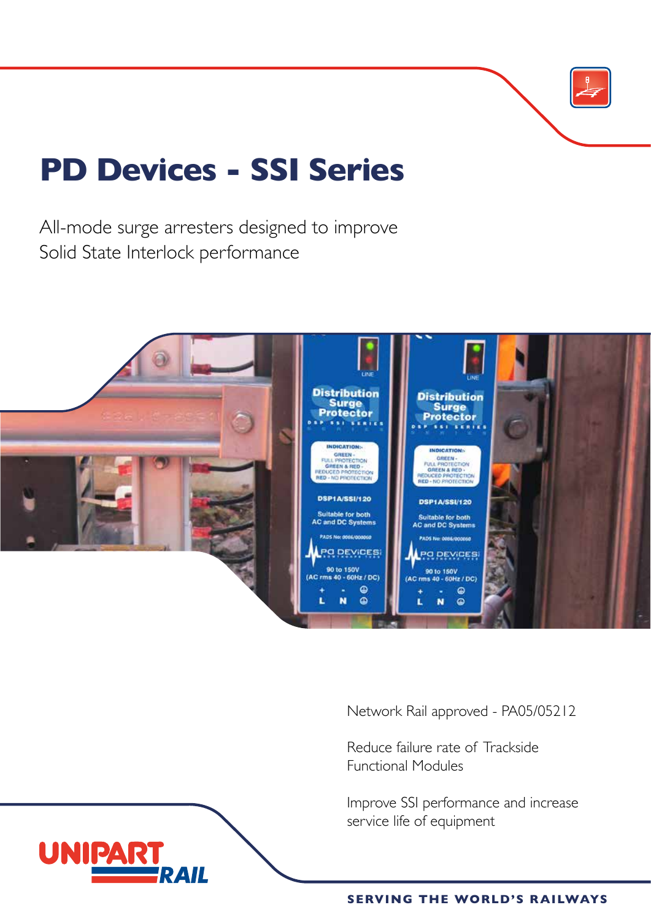

# **PD Devices - SSI Series**

All-mode surge arresters designed to improve Solid State Interlock performance



Network Rail approved - PA05/05212

Reduce failure rate of Trackside Functional Modules

Improve SSI performance and increase service life of equipment